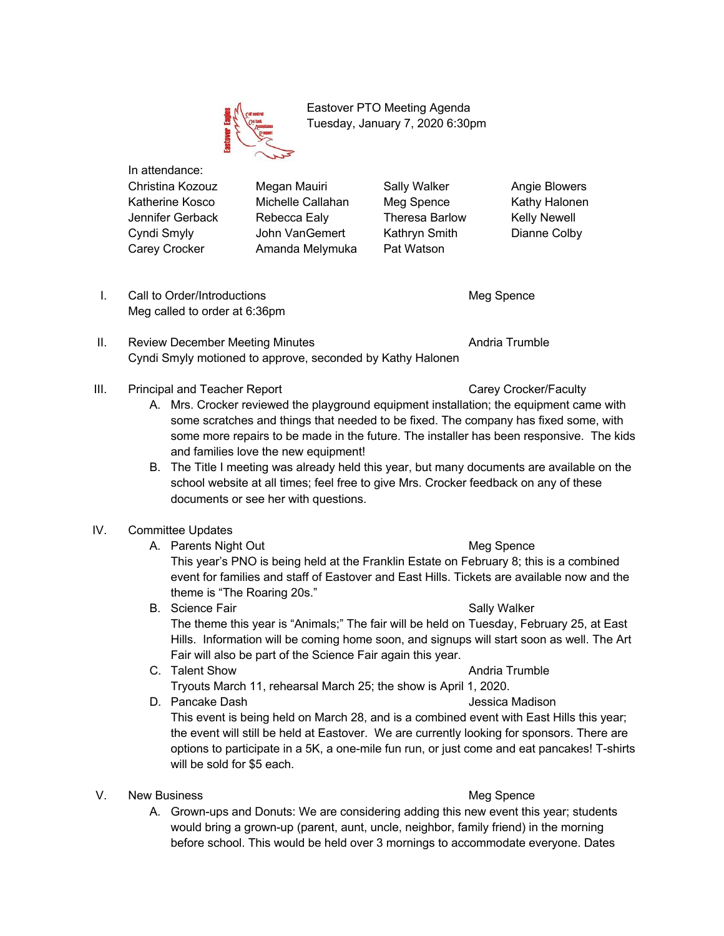

 Eastover PTO Meeting Agenda Tuesday, January 7, 2020 6:30pm

In attendance:

Christina Kozouz Megan Mauiri Sally Walker Angie Blowers Katherine Kosco Michelle Callahan Meg Spence Kathy Halonen Jennifer Gerback Rebecca Ealy Theresa Barlow Kelly Newell Cyndi Smyly John VanGemert Kathryn Smith Dianne Colby Carey Crocker Amanda Melymuka Pat Watson

I. Call to Order/Introductions and the control of the Meg Spence Meg called to order at 6:36pm

- II. Review December Meeting Minutes **Andria Trumble** Andria Trumble Cyndi Smyly motioned to approve, seconded by Kathy Halonen
- III. Principal and Teacher Report Carey Carey Crocker/Faculty
	- A. Mrs. Crocker reviewed the playground equipment installation; the equipment came with some scratches and things that needed to be fixed. The company has fixed some, with some more repairs to be made in the future. The installer has been responsive. The kids and families love the new equipment!
	- B. The Title I meeting was already held this year, but many documents are available on the school website at all times; feel free to give Mrs. Crocker feedback on any of these documents or see her with questions.
- IV. Committee Updates
	- A. Parents Night Out **Meg Spence** Meg Spence

This year's PNO is being held at the Franklin Estate on February 8; this is a combined event for families and staff of Eastover and East Hills. Tickets are available now and the theme is "The Roaring 20s."

- B. Science Fair Sally Walker The theme this year is "Animals;" The fair will be held on Tuesday, February 25, at East Hills. Information will be coming home soon, and signups will start soon as well. The Art Fair will also be part of the Science Fair again this year.
- C. Talent Show **Andria Trumble C.** Talent Show Tryouts March 11, rehearsal March 25; the show is April 1, 2020.
- D. Pancake Dash Jessica Madison This event is being held on March 28, and is a combined event with East Hills this year; the event will still be held at Eastover. We are currently looking for sponsors. There are options to participate in a 5K, a one-mile fun run, or just come and eat pancakes! T-shirts will be sold for \$5 each.

# V. New Business **Meg Spence** Meg Spence

A. Grown-ups and Donuts: We are considering adding this new event this year; students would bring a grown-up (parent, aunt, uncle, neighbor, family friend) in the morning before school. This would be held over 3 mornings to accommodate everyone. Dates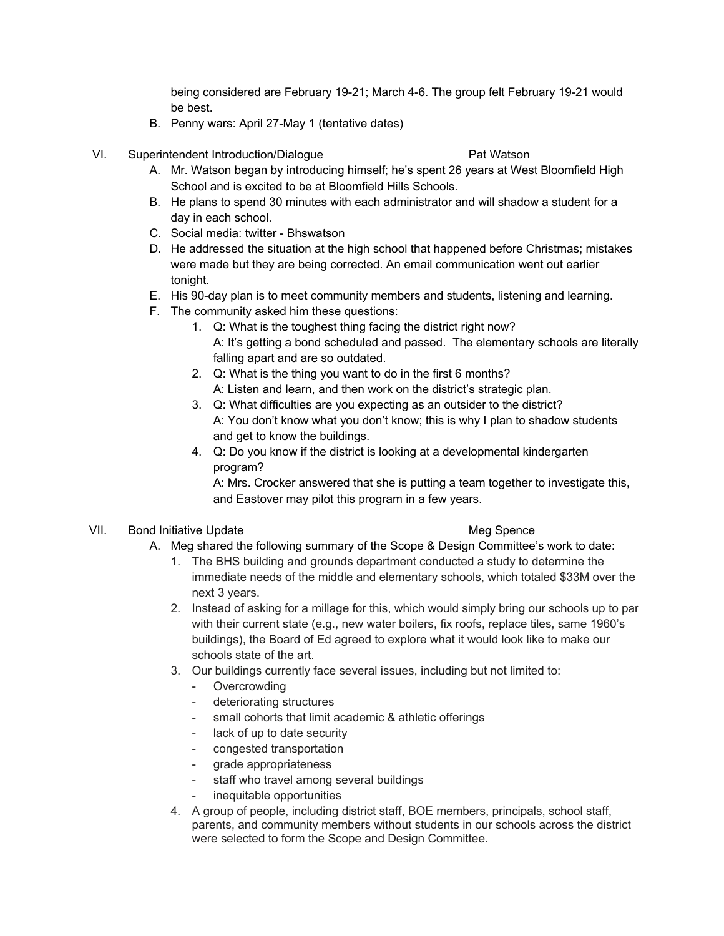being considered are February 19-21; March 4-6. The group felt February 19-21 would be best.

- B. Penny wars: April 27-May 1 (tentative dates)
- VI. Superintendent Introduction/Dialogue Pat Watson

- A. Mr. Watson began by introducing himself; he's spent 26 years at West Bloomfield High School and is excited to be at Bloomfield Hills Schools.
- B. He plans to spend 30 minutes with each administrator and will shadow a student for a day in each school.
- C. Social media: twitter Bhswatson
- D. He addressed the situation at the high school that happened before Christmas; mistakes were made but they are being corrected. An email communication went out earlier tonight.
- E. His 90-day plan is to meet community members and students, listening and learning.
- F. The community asked him these questions:
	- 1. Q: What is the toughest thing facing the district right now? A: It's getting a bond scheduled and passed. The elementary schools are literally falling apart and are so outdated.
	- 2. Q: What is the thing you want to do in the first 6 months? A: Listen and learn, and then work on the district's strategic plan.
	- 3. Q: What difficulties are you expecting as an outsider to the district? A: You don't know what you don't know; this is why I plan to shadow students and get to know the buildings.
	- 4. Q: Do you know if the district is looking at a developmental kindergarten program?

A: Mrs. Crocker answered that she is putting a team together to investigate this, and Eastover may pilot this program in a few years.

## VII. Bond Initiative Update Meg Spence

- A. Meg shared the following summary of the Scope & Design Committee's work to date:
	- 1. The BHS building and grounds department conducted a study to determine the immediate needs of the middle and elementary schools, which totaled \$33M over the next 3 years.
	- 2. Instead of asking for a millage for this, which would simply bring our schools up to par with their current state (e.g., new water boilers, fix roofs, replace tiles, same 1960's buildings), the Board of Ed agreed to explore what it would look like to make our schools state of the art.
	- 3. Our buildings currently face several issues, including but not limited to:
		- **Overcrowding**
		- deteriorating structures
		- small cohorts that limit academic & athletic offerings
		- lack of up to date security
		- congested transportation
		- grade appropriateness
		- staff who travel among several buildings
		- inequitable opportunities
	- 4. A group of people, including district staff, BOE members, principals, school staff, parents, and community members without students in our schools across the district were selected to form the Scope and Design Committee.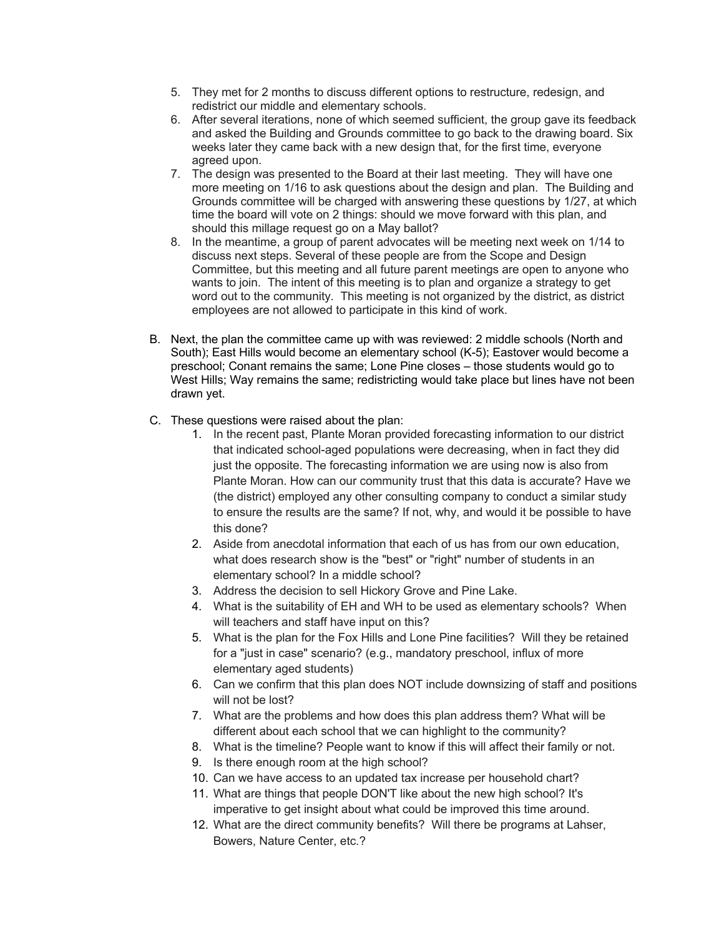- 5. They met for 2 months to discuss different options to restructure, redesign, and redistrict our middle and elementary schools.
- 6. After several iterations, none of which seemed sufficient, the group gave its feedback and asked the Building and Grounds committee to go back to the drawing board. Six weeks later they came back with a new design that, for the first time, everyone agreed upon.
- 7. The design was presented to the Board at their last meeting. They will have one more meeting on 1/16 to ask questions about the design and plan. The Building and Grounds committee will be charged with answering these questions by 1/27, at which time the board will vote on 2 things: should we move forward with this plan, and should this millage request go on a May ballot?
- 8. In the meantime, a group of parent advocates will be meeting next week on 1/14 to discuss next steps. Several of these people are from the Scope and Design Committee, but this meeting and all future parent meetings are open to anyone who wants to join. The intent of this meeting is to plan and organize a strategy to get word out to the community. This meeting is not organized by the district, as district employees are not allowed to participate in this kind of work.
- B. Next, the plan the committee came up with was reviewed: 2 middle schools (North and South); East Hills would become an elementary school (K-5); Eastover would become a preschool; Conant remains the same; Lone Pine closes – those students would go to West Hills; Way remains the same; redistricting would take place but lines have not been drawn yet.
- C. These questions were raised about the plan:
	- 1. In the recent past, Plante Moran provided forecasting information to our district that indicated school-aged populations were decreasing, when in fact they did just the opposite. The forecasting information we are using now is also from Plante Moran. How can our community trust that this data is accurate? Have we (the district) employed any other consulting company to conduct a similar study to ensure the results are the same? If not, why, and would it be possible to have this done?
	- 2. Aside from anecdotal information that each of us has from our own education, what does research show is the "best" or "right" number of students in an elementary school? In a middle school?
	- 3. Address the decision to sell Hickory Grove and Pine Lake.
	- 4. What is the suitability of EH and WH to be used as elementary schools? When will teachers and staff have input on this?
	- 5. What is the plan for the Fox Hills and Lone Pine facilities? Will they be retained for a "just in case" scenario? (e.g., mandatory preschool, influx of more elementary aged students)
	- 6. Can we confirm that this plan does NOT include downsizing of staff and positions will not be lost?
	- 7. What are the problems and how does this plan address them? What will be different about each school that we can highlight to the community?
	- 8. What is the timeline? People want to know if this will affect their family or not.
	- 9. Is there enough room at the high school?
	- 10. Can we have access to an updated tax increase per household chart?
	- 11. What are things that people DON'T like about the new high school? It's imperative to get insight about what could be improved this time around.
	- 12. What are the direct community benefits? Will there be programs at Lahser, Bowers, Nature Center, etc.?